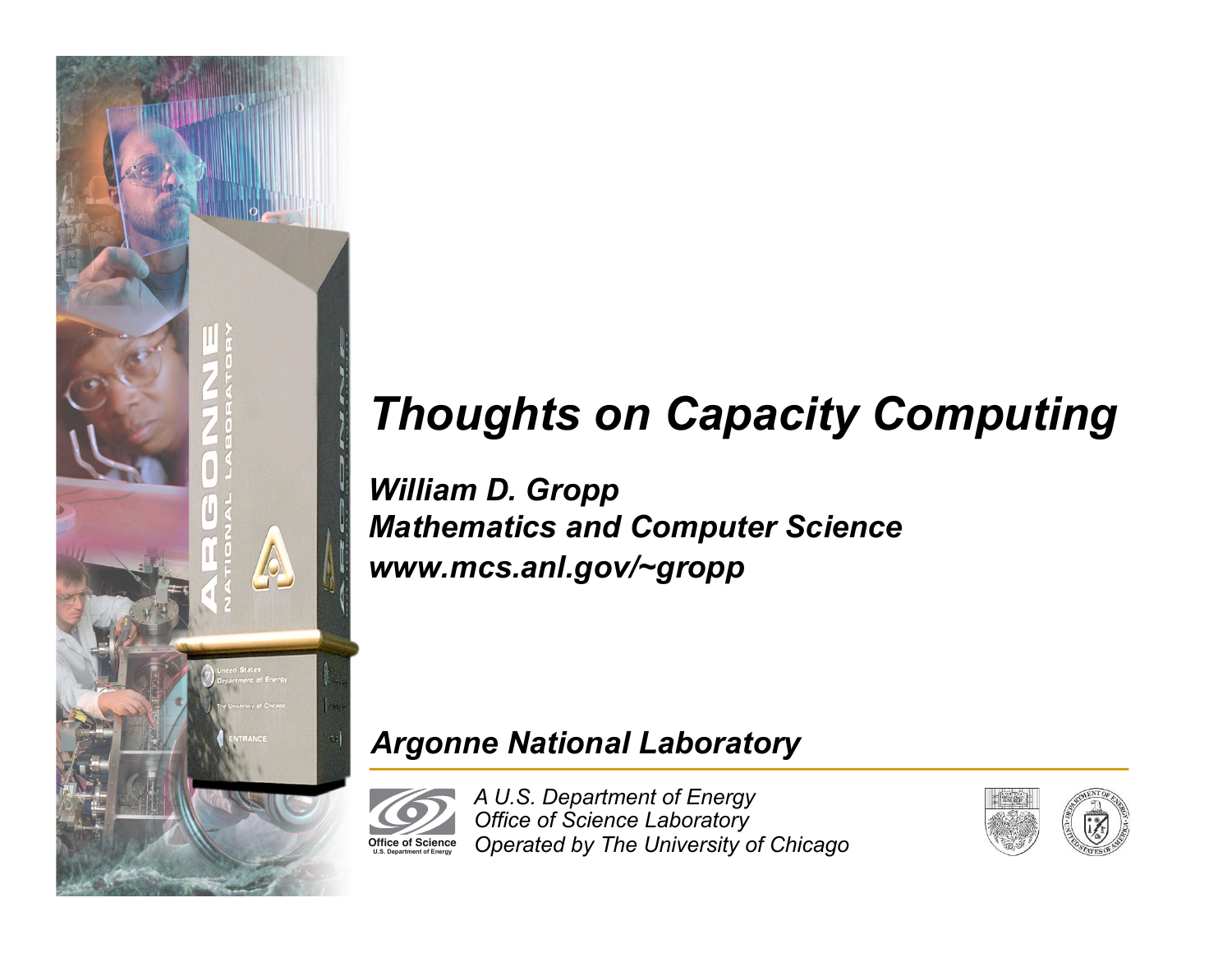

# *Thoughts on Capacity Computing*

*William D. Gropp Mathematics and Computer Science www.mcs.anl.gov/~gropp* 

#### *Argonne National Laboratory*

*A U.S. Department of Energy Office of Science Laboratory Operated by The University of Chicago*  **Office of Science U.S. Department of Energy**

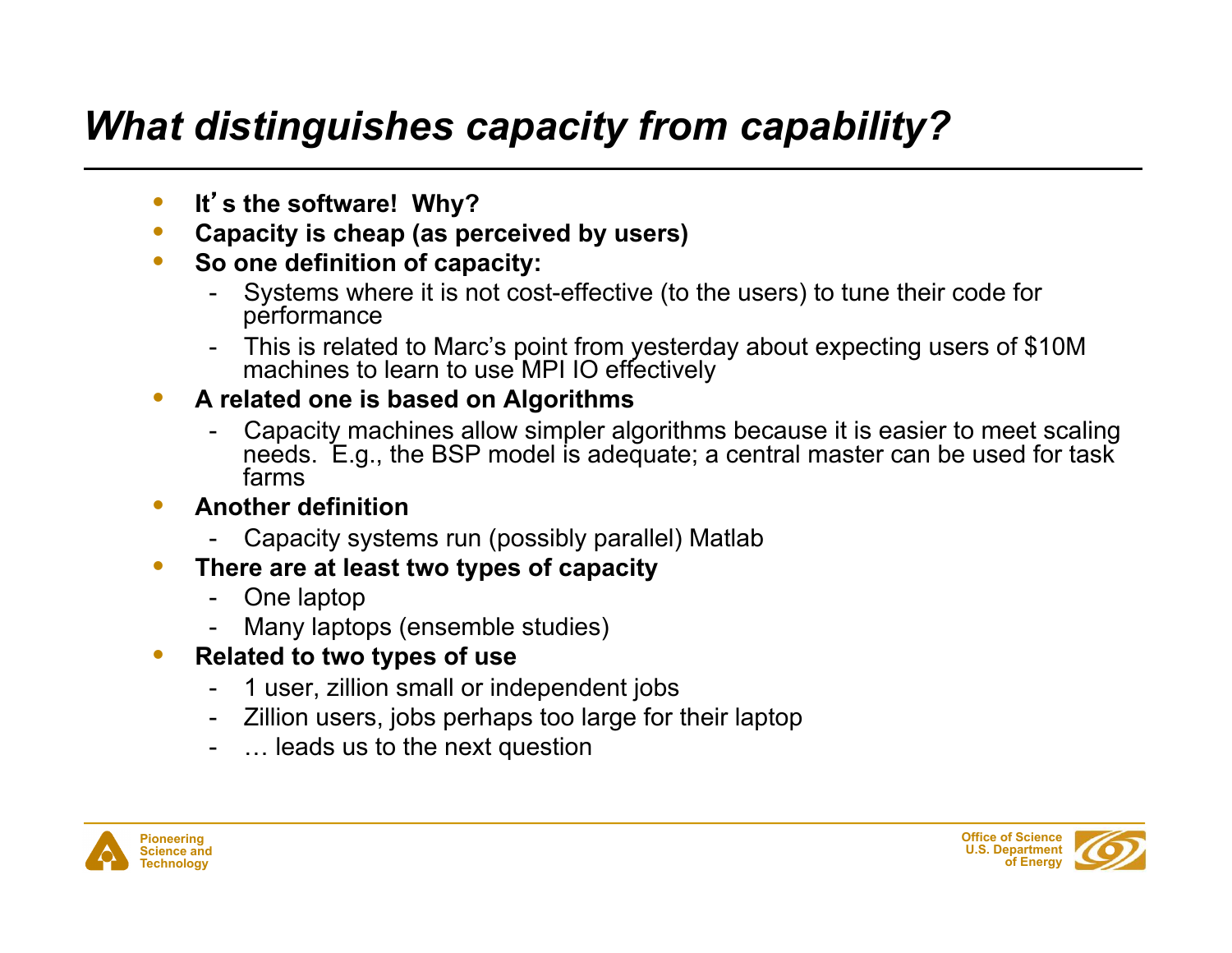## *What distinguishes capacity from capability?*

- **It**'**s the software! Why?**
- **Capacity is cheap (as perceived by users)**
- **So one definition of capacity:** 
	- Systems where it is not cost-effective (to the users) to tune their code for performance
	- This is related to Marc's point from yesterday about expecting users of \$10M machines to learn to use MPI IO effectively

#### • **A related one is based on Algorithms**

- Capacity machines allow simpler algorithms because it is easier to meet scaling needs. E.g., the BSP model is adequate; a central master can be used for task farms
- **Another definition** 
	- Capacity systems run (possibly parallel) Matlab
- **There are at least two types of capacity** 
	- One laptop
	- Many laptops (ensemble studies)
- **Related to two types of use** 
	- 1 user, zillion small or independent jobs
	- Zillion users, jobs perhaps too large for their laptop
	- ... leads us to the next question



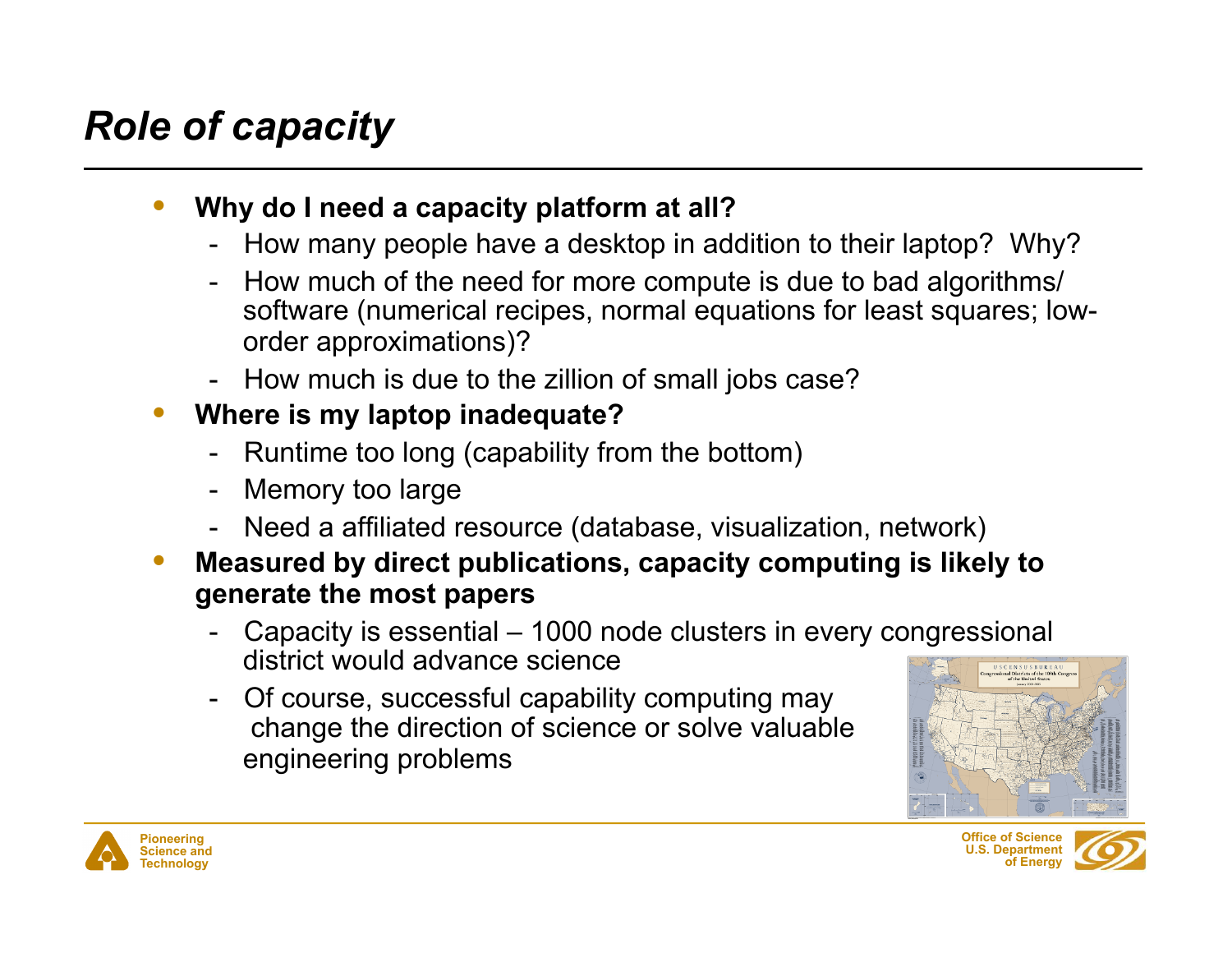# *Role of capacity*

- **Why do I need a capacity platform at all?** 
	- How many people have a desktop in addition to their laptop? Why?
	- How much of the need for more compute is due to bad algorithms/ software (numerical recipes, normal equations for least squares; loworder approximations)?
	- How much is due to the zillion of small jobs case?
- **Where is my laptop inadequate?** 
	- Runtime too long (capability from the bottom)
	- Memory too large
	- Need a affiliated resource (database, visualization, network)
- **Measured by direct publications, capacity computing is likely to generate the most papers** 
	- Capacity is essential 1000 node clusters in every congressional district would advance science
	- Of course, successful capability computing may change the direction of science or solve valuable engineering problems





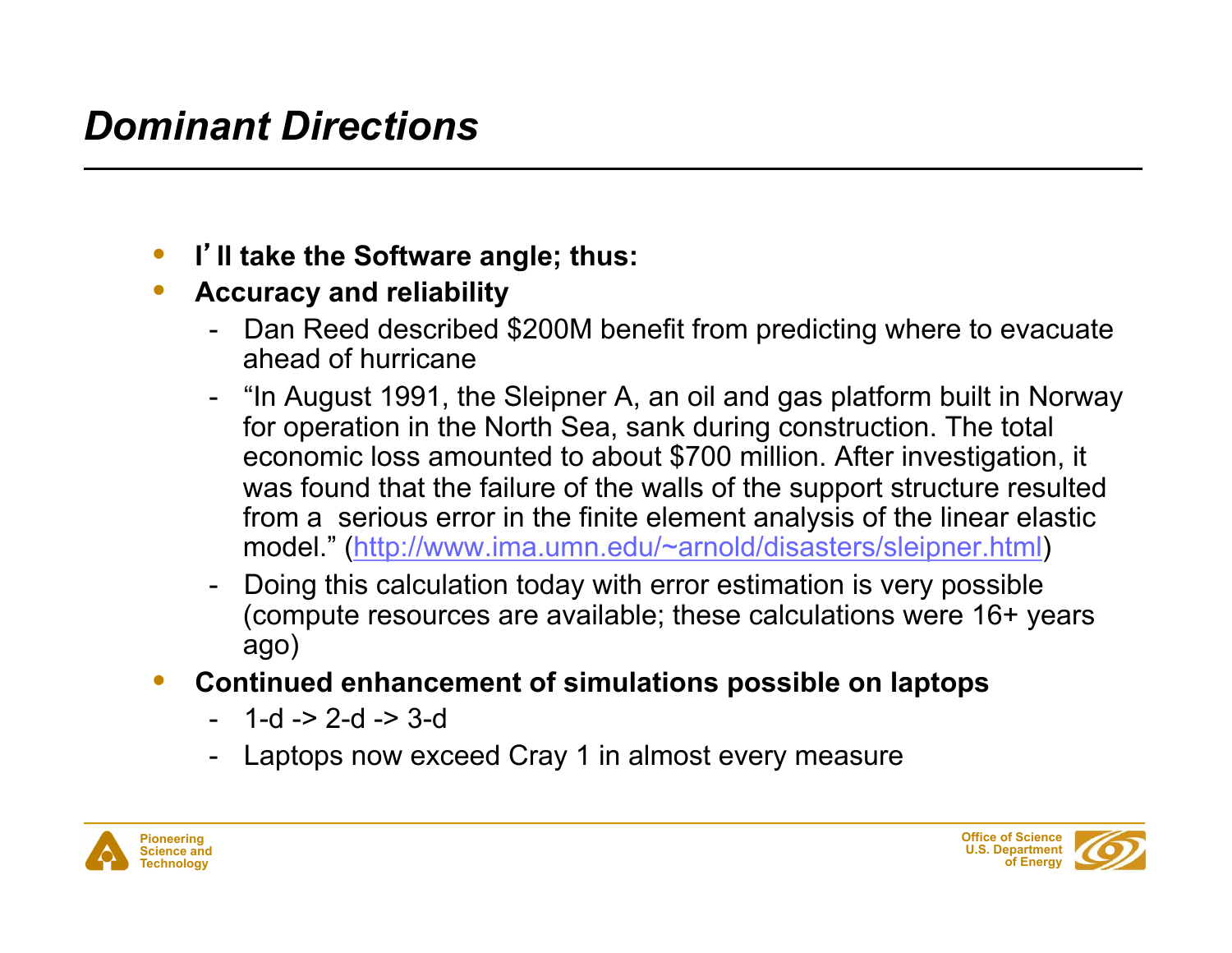### *Dominant Directions*

- **I**'**ll take the Software angle; thus:**
- **Accuracy and reliability** 
	- Dan Reed described \$200M benefit from predicting where to evacuate ahead of hurricane
	- "In August 1991, the Sleipner A, an oil and gas platform built in Norway for operation in the North Sea, sank during construction. The total economic loss amounted to about \$700 million. After investigation, it was found that the failure of the walls of the support structure resulted from a serious error in the finite element analysis of the linear elastic model." (http://www.ima.umn.edu/~arnold/disasters/sleipner.html)
	- Doing this calculation today with error estimation is very possible (compute resources are available; these calculations were 16+ years ago)
- **Continued enhancement of simulations possible on laptops** 
	- 1-d -> 2-d -> 3-d
	- Laptops now exceed Cray 1 in almost every measure



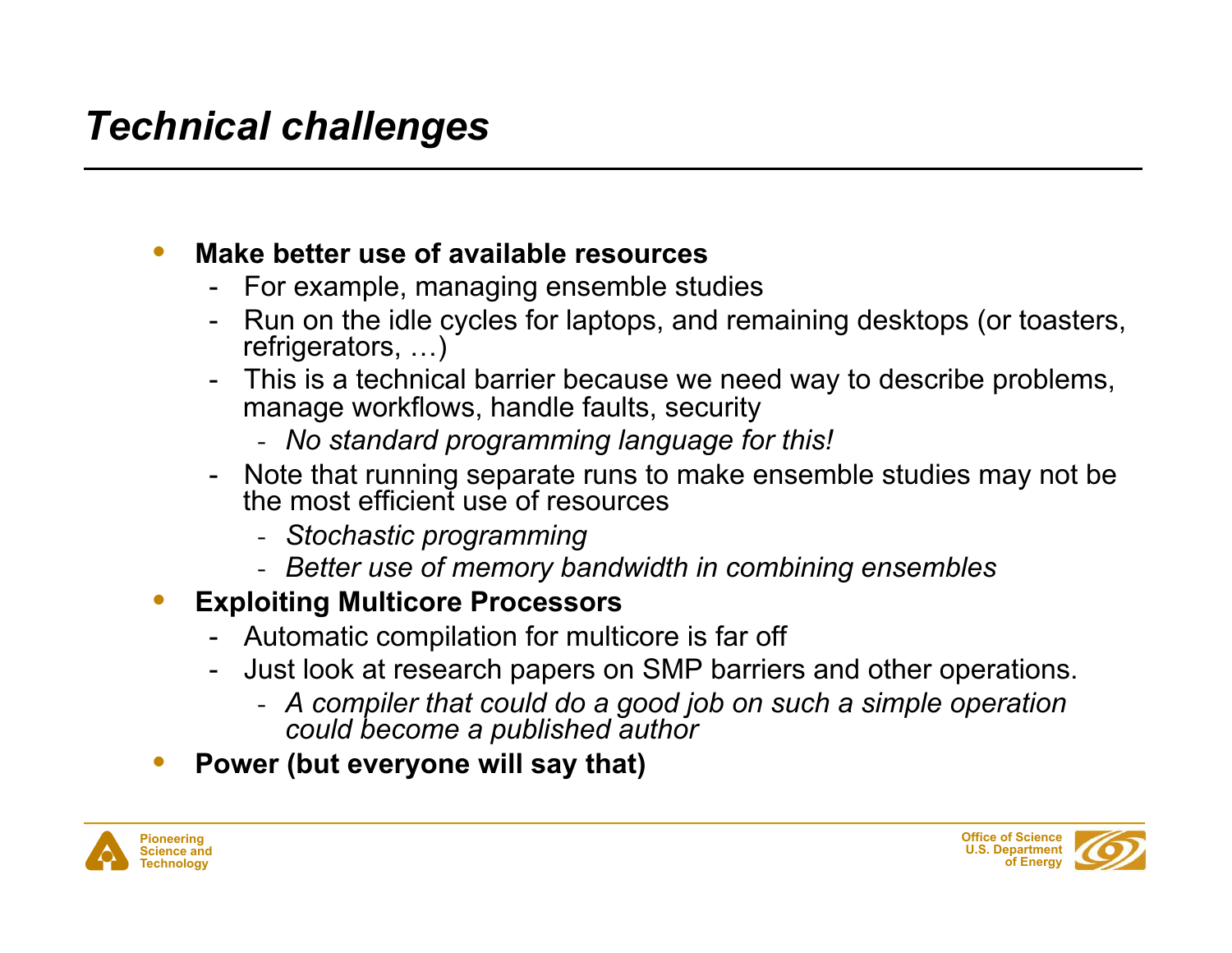### *Technical challenges*

#### • **Make better use of available resources**

- For example, managing ensemble studies
- Run on the idle cycles for laptops, and remaining desktops (or toasters, refrigerators, …)
- This is a technical barrier because we need way to describe problems, manage workflows, handle faults, security
	- *No standard programming language for this!*
- Note that running separate runs to make ensemble studies may not be the most efficient use of resources
	- *Stochastic programming*
	- *Better use of memory bandwidth in combining ensembles*
- **Exploiting Multicore Processors** 
	- Automatic compilation for multicore is far off
	- Just look at research papers on SMP barriers and other operations.
		- *A compiler that could do a good job on such a simple operation could become a published author*
- **Power (but everyone will say that)**